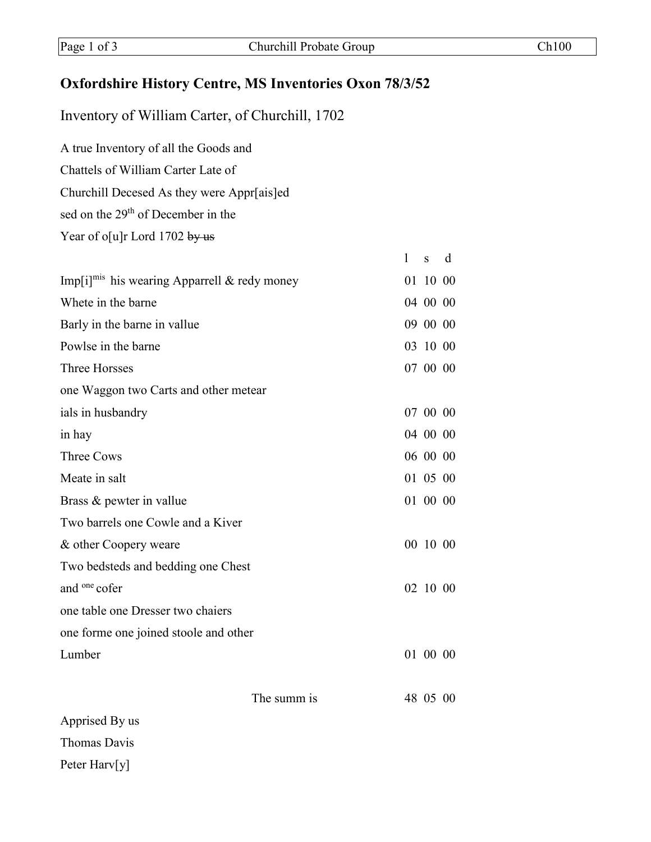## **Oxfordshire History Centre, MS Inventories Oxon 78/3/52**

Inventory of William Carter, of Churchill, 1702

A true Inventory of all the Goods and Chattels of William Carter Late of Churchill Decesed As they were Appr[ais]ed sed on the 29<sup>th</sup> of December in the

Year of o[u]r Lord 1702 by us

|                                                          |             | 1 | S        | d |
|----------------------------------------------------------|-------------|---|----------|---|
| Imp[i] <sup>mis</sup> his wearing Apparrell & redy money |             |   | 01 10 00 |   |
| Whete in the barne                                       |             |   | 04 00 00 |   |
| Barly in the barne in vallue                             |             |   | 09 00 00 |   |
| Powlse in the barne                                      |             |   | 03 10 00 |   |
| <b>Three Horsses</b>                                     |             |   | 07 00 00 |   |
| one Waggon two Carts and other metear                    |             |   |          |   |
| ials in husbandry                                        |             |   | 07 00 00 |   |
| in hay                                                   |             |   | 04 00 00 |   |
| <b>Three Cows</b>                                        |             |   | 06 00 00 |   |
| Meate in salt                                            |             |   | 01 05 00 |   |
| Brass & pewter in vallue                                 |             |   | 01 00 00 |   |
| Two barrels one Cowle and a Kiver                        |             |   |          |   |
| & other Coopery weare                                    |             |   | 00 10 00 |   |
| Two bedsteds and bedding one Chest                       |             |   |          |   |
| and <sup>one</sup> cofer                                 |             |   | 02 10 00 |   |
| one table one Dresser two chaiers                        |             |   |          |   |
| one forme one joined stoole and other                    |             |   |          |   |
| Lumber                                                   |             |   | 01 00 00 |   |
|                                                          |             |   |          |   |
|                                                          | The summ is |   | 48 05 00 |   |

Apprised By us Thomas Davis Peter Harv[y]